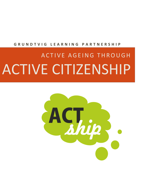# **G R U N D T V I G L E A R N I N G P A R T N E R S H I P**

# ACTIVE AGEING THROUGH ACTIVE CITIZENSHIP

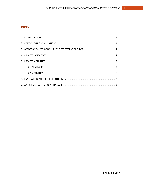## **INDEX**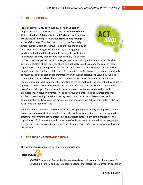#### <span id="page-2-0"></span>**1. INTRODUCTION**

From Septembre 2012 to August 2014, Adult Education Organisations from six European countries -**Ireland, Sweden, United Kingdom, Belgium, Spain and Portugal**- took part in a EU Grundtvig Learning Partnership: *Active Ageing through Active Citizenship.* The objective of the former Grundtvig action, currently part of Erasmus+, is to improve the quality of education and training throughout life by enabling people working within the adult education to participate in a training in a different country than the one they normally live or work



in. The six entities participants in the Project are non-profit organisations. Concern for the person, regardless of their age, social and cultural background, is among the goals of these organizations. They try to provide the best possible service to their communities and wish to help alleviate the harshness of the current economic crisis. Actship was a welcome opportunity to revisit our adult education programmes which, though successful and valued by the local communities, nevertheless -due to the harshness of the current European economic crisisrequired new approaches to meet the situation of the unemployed. The concept of linking active ageing and active citizenship led these discussions effectively and focused on a "learn while doing" methodology". The partnership drew on projects within our organisations which promoted meaningful involvement in society through volunteering and intergenerational solidarity. Volunteering is the ideal setting to enhance the personal development and communication skills we envisage for our learners and which we believe constitutes a plus for re-entry to the labour market.

We offer in this handbook a description of the participating institutions, the objectives of the project and main conclusions developed in order to show some guidelines have proven to be effective for promoting active citizenship. The greatest achievement of the project was the organization of 12 seminars in which a variety of activities were developed and where people from various countries could interchange their best practices. In Section 5 workshops developed are detailed.

#### <span id="page-2-1"></span>**2. PARTICIPANT ORGANISATIONS**

The partnership is composed by following organisations:



1) BROSNA Educational Centres Ltd is a registered charity in **Ireland** for the purpose of establishing cultural and educational projects for the integral development of people of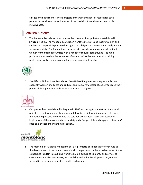all ages and backgrounds. These projects encourage attitudes of respect for each person, personal freedom and a sense of responsibility towards society and social inclusiveness.

## Stiftelsen Ateneum

2) The Ateneum Foundation is an independent non-profit organizations established in **Sweden** in 1995. The Ateneum Foundation wants to motivate and inspire women and students to responsibly practice their rights and obligations towards their family and the service of society. The foundation's purpose is to provide formation and education to women from different countries with a variety of cultural backgrounds. The main projects are focused on the formation of women in Sweden and abroad providing professional skills, trainee posts, volunteering opportunities, etc.



3) Dawliffe Hall Educational Foundation from **United Kingdom**, encourages families and especially women of all ages and cultures and from every sector of society to reach their potential through formal and informal educational projects.



4) Campus Asbl was established in **Belgium** in 1966. According to the statutes the overall objective is to develop, mainly amongst adults a better information on current issues, the ability to perceive and evaluate the cultural, ethical, legal social and economic implications of the major debates of society and a "responsible and engaged citizenship" base on a critical understanding of society.



5) The main aim of Fundació Montblanc per a la promoció de la dona is to contribute to the development of the human person in all its aspects and in the broadest sense. It was established in **Spain** in 1998 and works to build a culture of solidarity and service, to create in society civic awareness, responsibility and unity. Development projects are focused in three areas: education, health and woman.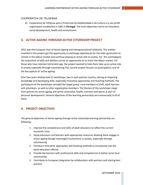#### COOPERATIVA DE TELHEIRAS

6) Cooperativa de Telheiras para a Promocao da Solidariedade e da Cultura is a non profit organisation established in 1981 in **Portugal**. The main objectives centre on Education, social development, health and environment.

#### <span id="page-4-0"></span>**3.** *ACTIVE AGEING THROUGH ACTIVE CITIZENSHIP* **PROJECT**

2012 was the European Year of Active Ageing and Intergenerational Solidarity. The entities involved in this project got the opportunity to exchange experiences for the older generation to remain in the labour market and continue playing an active role in society. For the unemployed, the acquisition of skills and abilities can be an opportunity to re-enter the labour market. For those who have reached retirement age, the project wanted to help them take up an active role in society especially through volunteering This current project focuses on participation, one of the key aspects of 'active ageing'.

Over two years Actship held 12 workshops, two in each partner country, aiming at imparting knowledge and developing skills, especially innovative approaches and teaching methods. The participants of the workshops included the target group -core members of staff, adult learners and volunteers- as well as other organisation members. The themes of the workshops range from policies on active ageing and active citizenship, health, nutrition and sports as part of personal development. General objectives of the learning partnership are transversally in all of them.

#### <span id="page-4-1"></span>**4. PROJECT OBJECTIVES**

The general objectives of *Active ageing through active citizenship* learning partnership are following:

- 1. Improve the competences and skills of adult educators to reflect the current economic crisis.
- 2. Equip educators and learners with appropriate resources allowing them engage in active ageing though meaningful involvement in society, especially through volunteering
- 3. Introduce innovative approaches and teaching methods to incorporate into the adult education offered
- 4. Provide the learners with professional skills and competences to better serve local communities
- *5.* Contribute to European integration by collaboration with partners and sharing best practice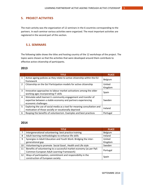## <span id="page-5-0"></span>**5. PROJECT ACTIVITIES**

The main activity was the organization of 12 seminars in the 6 countries corresponding to the partners. In each seminar various activities were organized. The most important activities are registered in the second part of this section.

#### <span id="page-5-1"></span>**5.1. SEMINARS**

The following table shows the titles and hosting country of the 12 workshops of the project. The topics were chosen so that the activities that were developed around them contribute to effective active citizenship of participants.

#### **2013**

|              | <b>TITLE</b>                                                                                                                                           | <b>PLACE</b>      |
|--------------|--------------------------------------------------------------------------------------------------------------------------------------------------------|-------------------|
| 1            | Active ageing policies as they relate to active citizenship within the EU<br>framework                                                                 | Belgium           |
| $\mathbf{2}$ | Citizenship on the Go! Participation models for active citizenship                                                                                     | United<br>Kingdom |
| 3            | Innovative approaches to labour market activations among the older<br>working ages incorporating IT skills                                             | Spain             |
| 4            | Stimulate adult learners's community engagement and transfer of<br>expertise between a stable economy and partners experiencing<br>economic challenges | Sweden            |
| 5            | Exploring the use of social media as a tool for meaning consultation and<br>motivation of those socially or vocationally deprived                      | Ireland           |
| 6            | Reaping the benefits of volunteerism. Examples and best practices                                                                                      | Portugal          |

#### **2014**

|    | <b>TITLE</b>                                                        | <b>PLACE</b> |  |
|----|---------------------------------------------------------------------|--------------|--|
| 7  | Intergenerational volunteering: best practice training              | Belgium      |  |
| 8  | Adult learning methodologies to enhance life skills                 | Ireland      |  |
| 9  | Synergies in Adult Education and Youth Work: Bridging the inter-    | United       |  |
|    | generational gap                                                    | Kingdom      |  |
| 10 | Volunteering to promote Social Good, Health and Life style          | Sweden       |  |
| 11 | Benefits of volunteering to a successful market economy (as per Pp5 |              |  |
|    | Common European Adult Learning Framework)                           | Portugal     |  |
| 12 | Ways of participation, commitment and responsibility in the         |              |  |
|    | construction of European society                                    | Spain        |  |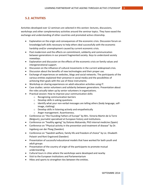## <span id="page-6-0"></span>**5.2. ACTIVITIES**

Activities developed over 12 seminars are selected in this section: lectures, discussions, workshops and other complementary activities around the seminar topics. They have eased the exchange and understanding of other countries and promoted active citizenship.

- Explanation on the origin and consequences of the economic crisis. Discussion forum on knowledge/soft skills necessary to help others deal successfully with the economic hardship and/or unemployment caused by current economic crisis.
- Post modernism and the effects on commitment, solidarity and communication between generations in our present fragmented society. Keys to understand society nowadays.
- Explanation and discussion on the effects of the economic crisis on family values and intergenerational support.
- Discussion on the influence of cultural movements in the current widespread crisis.
- Discussion about the benefits of new technologies and their proper use.
- Exchange of experiences on websites, blogs and social networks. The participants of the various entities explained their presence in social media and the possibilities of achieving their goals with the use of these instruments.
- Workshop on sharing experiences on adult education activities using IT.
- Case studies: senior volunteers and solidarity between generations. Presentation about the roles actually taken up by senior volunteers in organizations.
- Practical session: How to improve your communication skills:
	- o Recognizing communication barriers
	- o Develop skills in asking questions
	- $\circ$  Identify what your non-verbal messages are telling others (body language, selfimage, clothing)
	- o Develop skills in listening actively and empathetically
	- o Anger management. Assertiveness.
- Conference on "the Founding Fathers of Europe" by Mrs. Victoria Martin de la Torre (Belgium), journalist specialised at European history and institutions.
- Conference on "healthy ageing" by Dolores Maluenda, PhD internal medicine (Spain)
- Conference on "Physical activity in the prevention and treatment of disease" by Dr. Ingeborg van der Ploeg (Sweden)
- Conference on "Swedish welfare, family life and freedom of choice" by Lic. Elisabeth Polastri and Roni Engstrand (Sweden)
- Presentation of successful educational models that have worked for both youth and adult groups
- Presentation of the country of origin of the participants to promote mutual understanding.
- Cultural tours in cities where the workshops were developed and nearby
- Visit to the European Institutions and Parlamentarium
- <span id="page-6-1"></span>Hikes and sports to strengthen ties between the entities.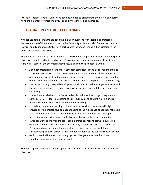Moreover, at local level activities have been developed to disseminate the project and partners have implemented volunteering activities and intergenerational exchange.

### **6. EVALUATION AND PROJECT OUTCOMES**

Attendance at the seminars has been the main achievement of the learning partnership. Representatives of all entities involved in the Grundtvig project and also from other countries -Switzerland, Lebanon, Australia- have participated in various seminars. Participation in the activities has been very active.

The organising entity prepared at the end of each seminar a report which contained the specific objectives, detailed activities and results. This report has been shared among all participants. Here we list some of the accomplishments resulting from the project as a whole.

- Adult educators: significant improvement in competences and skills enabling them to assist learners respond to the current economic crisis. At the end of the seminar a questionnaire was distributed among the participants to assess various aspects of the organization and content of the seminar. Annex collect a sample of the required rating.
- Resources: Through personal development and appropriate knowledge, educators and learners were equipped to engage in active ageing and meaningful involvement in active citizenship.
- Innovation and Methodology: Constructive discussion and exchange of experience particularly in IT – led to updating of skills, curricula and content which is of direct benefit to adult learners. This development is ongoing.
- Formal and non formal learning: cultural, interpersonal and professional insights provided by the project gave an understanding of the wide range of educational media and communication that can be effectively used in methodology and -through promoting volunteering- make a valuable contribution to the local community.
- European Dimension: Working together in a transnational project was a successful experience of European integration and capacity building for all in the partnership. Participants have deepened their knowledge of six countries involved, their corresponding culture, besides a greater understanding of the cultural roots of Europe.
- Bank of practical ideas on how to engage the older generation in educational volunteering activities for younger people

Summarizing the assessment of participants can conclude that the workshop has achieved its objectives.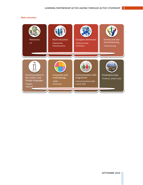#### **Main outcomes:**

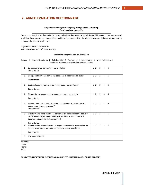## <span id="page-9-0"></span>**7. ANNEX: EVALUATION QUESTIONNAIRE**

#### **Programa Grundvitg: Active Ageing through Active Citizenship Cuestionario de evaluación \_\_\_\_\_\_\_\_\_\_\_\_\_\_\_\_\_\_\_\_\_\_\_\_\_\_\_\_\_\_\_\_\_\_\_\_\_\_\_\_\_\_\_\_\_\_\_\_\_\_\_\_\_\_\_\_\_\_\_\_\_\_\_\_\_\_\_\_\_\_\_\_\_\_\_**

Gracias por participar en la asociación de aprendizaje **Active Ageing through Active Citizenship.** Esperamos que el workshop haya sido de su interés y haya cubierto sus expectativas. Agradeceríamos que dedicara un momento a completar la siguiente evaluación:

**Lugar del workshop**: CAN NADAL **País**: ESPAÑA (FUNDACIÓ MONTBLANC)

#### **Contenido y organización del Workshop**

Escala: 1 – Muy satisfactorio; 2 – Satisfactorio; 3 – Neutral; 4 – Insatisfactorio; 5 – Muy insatisfactorio Por favor, escriba sus comentarios en cada sección

| 1. | Se han cumplido los objetivos del workshop<br>Comentarios:                                                                                                                                         | 1 <sub>2</sub> | 3              | 4              | 5 |  |
|----|----------------------------------------------------------------------------------------------------------------------------------------------------------------------------------------------------|----------------|----------------|----------------|---|--|
| 2. | El lugar y alojamiento son apropiados para el desarrollo del taller<br>Comentarios:                                                                                                                | $1\quad2$      | 3              | 4              | 5 |  |
| 3. | Las instalaciones y servicios son apropiados y satisfactorios<br>Comentarios:                                                                                                                      | 1 <sub>2</sub> | $\overline{3}$ | 4              | 5 |  |
| 4. | El material entregado en el workshop es claro y apropiado<br>Comentarios:                                                                                                                          | 1 <sub>2</sub> | $\mathbf{3}$   | $\overline{4}$ | 5 |  |
| 5. | El taller me ha dado las habilidades y conocimientos para motivar a<br>personas adultas en el uso de IT<br>Comentarios:                                                                            | $1\quad2$      | 3              | $\overline{4}$ | 5 |  |
| 6. | El taller me ha dado una buena comprensión de la ciudadanía activa y<br>los beneficios de empoderamiento de los adultos para utilizar sus<br>talentos en beneficio de la comunidad<br>Comentarios: | $1\quad2$      | $\mathbf{3}$   | $\overline{4}$ | 5 |  |
| 7. | El taller me ha proporcionado un mayor conocimiento de las raíces de<br>la crisis actual como punto de partida para buscar soluciones<br>Comentarios:                                              | $1\quad2$      | 3              | 4              | 5 |  |
| 8. | Otros comentarios:                                                                                                                                                                                 |                |                |                |   |  |

Nombre: Firma: Fecha:

País:

#### **POR FAVOR, ENTREGUE EL CUESTIONARIO COMPLETO Y FIRMADO A LOS ORGANIZADORES**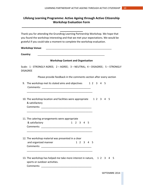# **Lifelong Learning Programme: Active Ageing through Active Citizenship Workshop Evaluation Form**

**\_\_\_\_\_\_\_\_\_\_\_\_\_\_\_\_\_\_\_\_\_\_\_\_\_\_\_\_\_\_\_\_\_\_\_\_\_\_\_\_\_\_\_\_\_\_\_\_\_\_\_\_\_\_\_\_\_\_\_\_\_**

| <b>Workshop Venue:</b>                                                                           |
|--------------------------------------------------------------------------------------------------|
| Country:                                                                                         |
| <b>Workshop Content and Organisation</b>                                                         |
| Scale: 1 - STRONGLY AGREE; 2 - AGREE; 3 - NEUTRAL; 4 - DISAGREE; 5 - STRONGLY<br><b>DISAGREE</b> |
| Please provide feedback in the comments section after every section                              |
| 9. The workshop met its stated aims and objectives 12345                                         |
| 10. The workshop location and facilities were appropriate 12 3 4 5<br>& satisfactory             |
| 11. The catering arrangements were appropriate<br>& satisfactory<br>1 2 3 4 5                    |
| 12. The workshop material was presented in a clear<br>and organized manner<br>1 2 3 4 5          |